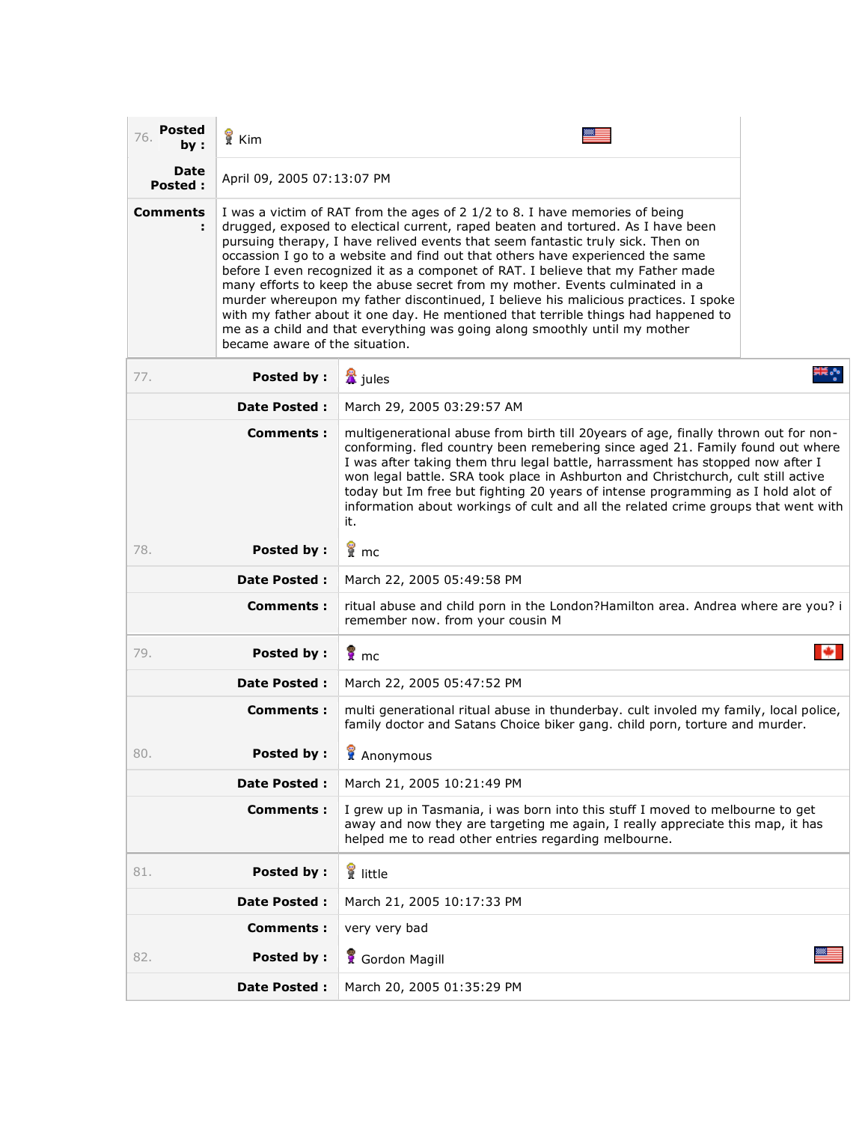| <b>Posted</b><br>76.<br>bv : | <b>R</b> Kim                                                                                                                                                                                                                                                                                                                                                                                                                                                                                                                                                                                                                                                                                                                                                                                         |                                                                                                                                                                                                                                                                                                                                                                                                                                  |  |
|------------------------------|------------------------------------------------------------------------------------------------------------------------------------------------------------------------------------------------------------------------------------------------------------------------------------------------------------------------------------------------------------------------------------------------------------------------------------------------------------------------------------------------------------------------------------------------------------------------------------------------------------------------------------------------------------------------------------------------------------------------------------------------------------------------------------------------------|----------------------------------------------------------------------------------------------------------------------------------------------------------------------------------------------------------------------------------------------------------------------------------------------------------------------------------------------------------------------------------------------------------------------------------|--|
| Date<br><b>Posted:</b>       | April 09, 2005 07:13:07 PM                                                                                                                                                                                                                                                                                                                                                                                                                                                                                                                                                                                                                                                                                                                                                                           |                                                                                                                                                                                                                                                                                                                                                                                                                                  |  |
| <b>Comments</b>              | I was a victim of RAT from the ages of 2 1/2 to 8. I have memories of being<br>drugged, exposed to electical current, raped beaten and tortured. As I have been<br>pursuing therapy, I have relived events that seem fantastic truly sick. Then on<br>occassion I go to a website and find out that others have experienced the same<br>before I even recognized it as a componet of RAT. I believe that my Father made<br>many efforts to keep the abuse secret from my mother. Events culminated in a<br>murder whereupon my father discontinued, I believe his malicious practices. I spoke<br>with my father about it one day. He mentioned that terrible things had happened to<br>me as a child and that everything was going along smoothly until my mother<br>became aware of the situation. |                                                                                                                                                                                                                                                                                                                                                                                                                                  |  |
| 77.                          | Posted by:                                                                                                                                                                                                                                                                                                                                                                                                                                                                                                                                                                                                                                                                                                                                                                                           | & jules                                                                                                                                                                                                                                                                                                                                                                                                                          |  |
| <b>Date Posted:</b>          |                                                                                                                                                                                                                                                                                                                                                                                                                                                                                                                                                                                                                                                                                                                                                                                                      | March 29, 2005 03:29:57 AM                                                                                                                                                                                                                                                                                                                                                                                                       |  |
| Comments :                   |                                                                                                                                                                                                                                                                                                                                                                                                                                                                                                                                                                                                                                                                                                                                                                                                      | multigenerational abuse from birth till 20years of age, finally thrown out for non-<br>conforming. fled country been remebering since aged 21. Family found out where<br>I was after taking them thru legal battle, harrassment has stopped now after I<br>won legal battle. SRA took place in Ashburton and Christchurch, cult still active<br>today but Im free but fighting 20 years of intense pregramming as I hold alot of |  |

| <b>Comments:</b>         | multigenerational abuse from birth till 20years of age, finally thrown out for non-<br>conforming. fled country been remebering since aged 21. Family found out where<br>I was after taking them thru legal battle, harrassment has stopped now after I<br>won legal battle. SRA took place in Ashburton and Christchurch, cult still active<br>today but Im free but fighting 20 years of intense programming as I hold alot of<br>information about workings of cult and all the related crime groups that went with<br>it. |  |
|--------------------------|-------------------------------------------------------------------------------------------------------------------------------------------------------------------------------------------------------------------------------------------------------------------------------------------------------------------------------------------------------------------------------------------------------------------------------------------------------------------------------------------------------------------------------|--|
| <b>Posted by:</b><br>78. | ¶ mc                                                                                                                                                                                                                                                                                                                                                                                                                                                                                                                          |  |
| <b>Date Posted:</b>      | March 22, 2005 05:49:58 PM                                                                                                                                                                                                                                                                                                                                                                                                                                                                                                    |  |
| <b>Comments:</b>         | ritual abuse and child porn in the London?Hamilton area. Andrea where are you? i<br>remember now. from your cousin M                                                                                                                                                                                                                                                                                                                                                                                                          |  |
| <b>Posted by:</b><br>79. | $\sqrt{\frac{2}{n}}$ mc                                                                                                                                                                                                                                                                                                                                                                                                                                                                                                       |  |
| <b>Date Posted:</b>      | March 22, 2005 05:47:52 PM                                                                                                                                                                                                                                                                                                                                                                                                                                                                                                    |  |
| <b>Comments:</b>         | multi generational ritual abuse in thunderbay. cult involed my family, local police,<br>family doctor and Satans Choice biker gang. child porn, torture and murder.                                                                                                                                                                                                                                                                                                                                                           |  |
| <b>Posted by:</b><br>80. | Anonymous                                                                                                                                                                                                                                                                                                                                                                                                                                                                                                                     |  |
| <b>Date Posted:</b>      | March 21, 2005 10:21:49 PM                                                                                                                                                                                                                                                                                                                                                                                                                                                                                                    |  |
| <b>Comments:</b>         | I grew up in Tasmania, i was born into this stuff I moved to melbourne to get<br>away and now they are targeting me again, I really appreciate this map, it has<br>helped me to read other entries regarding melbourne.                                                                                                                                                                                                                                                                                                       |  |
| <b>Posted by:</b><br>81. | if little                                                                                                                                                                                                                                                                                                                                                                                                                                                                                                                     |  |
| <b>Date Posted:</b>      | March 21, 2005 10:17:33 PM                                                                                                                                                                                                                                                                                                                                                                                                                                                                                                    |  |
| <b>Comments:</b>         | very very bad                                                                                                                                                                                                                                                                                                                                                                                                                                                                                                                 |  |
| <b>Posted by:</b><br>82. | Gordon Magill                                                                                                                                                                                                                                                                                                                                                                                                                                                                                                                 |  |
| <b>Date Posted:</b>      | March 20, 2005 01:35:29 PM                                                                                                                                                                                                                                                                                                                                                                                                                                                                                                    |  |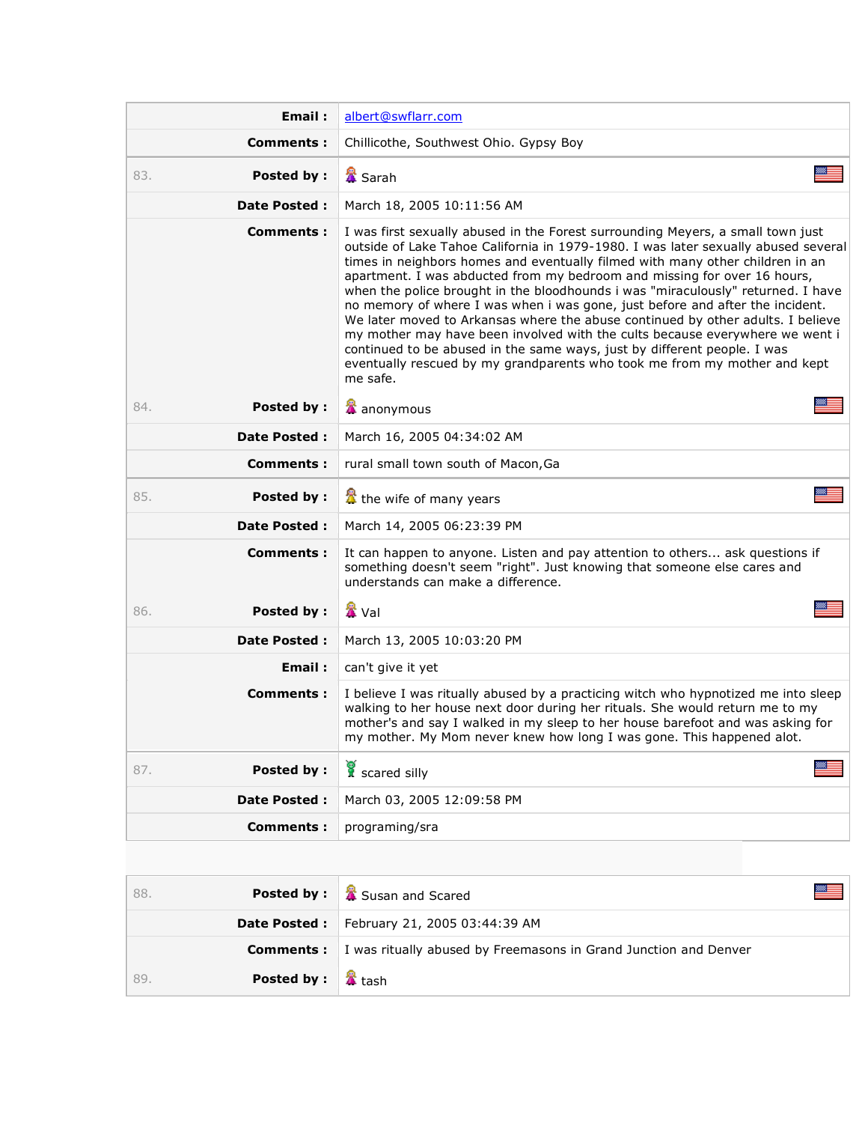| Email:                   | albert@swflarr.com                                                                                                                                                                                                                                                                                                                                                                                                                                                                                                                                                                                                                                                                                                                                                                                                                              |  |
|--------------------------|-------------------------------------------------------------------------------------------------------------------------------------------------------------------------------------------------------------------------------------------------------------------------------------------------------------------------------------------------------------------------------------------------------------------------------------------------------------------------------------------------------------------------------------------------------------------------------------------------------------------------------------------------------------------------------------------------------------------------------------------------------------------------------------------------------------------------------------------------|--|
| Comments:                | Chillicothe, Southwest Ohio. Gypsy Boy                                                                                                                                                                                                                                                                                                                                                                                                                                                                                                                                                                                                                                                                                                                                                                                                          |  |
| <b>Posted by:</b><br>83. | <b>▲</b> Sarah                                                                                                                                                                                                                                                                                                                                                                                                                                                                                                                                                                                                                                                                                                                                                                                                                                  |  |
| <b>Date Posted:</b>      | March 18, 2005 10:11:56 AM                                                                                                                                                                                                                                                                                                                                                                                                                                                                                                                                                                                                                                                                                                                                                                                                                      |  |
| Comments:                | I was first sexually abused in the Forest surrounding Meyers, a small town just<br>outside of Lake Tahoe California in 1979-1980. I was later sexually abused several<br>times in neighbors homes and eventually filmed with many other children in an<br>apartment. I was abducted from my bedroom and missing for over 16 hours,<br>when the police brought in the bloodhounds i was "miraculously" returned. I have<br>no memory of where I was when i was gone, just before and after the incident.<br>We later moved to Arkansas where the abuse continued by other adults. I believe<br>my mother may have been involved with the cults because everywhere we went i<br>continued to be abused in the same ways, just by different people. I was<br>eventually rescued by my grandparents who took me from my mother and kept<br>me safe. |  |
| <b>Posted by:</b><br>84. | anonymous                                                                                                                                                                                                                                                                                                                                                                                                                                                                                                                                                                                                                                                                                                                                                                                                                                       |  |
| <b>Date Posted:</b>      | March 16, 2005 04:34:02 AM                                                                                                                                                                                                                                                                                                                                                                                                                                                                                                                                                                                                                                                                                                                                                                                                                      |  |
| Comments:                | rural small town south of Macon, Ga                                                                                                                                                                                                                                                                                                                                                                                                                                                                                                                                                                                                                                                                                                                                                                                                             |  |
| 85.<br><b>Posted by:</b> | the wife of many years                                                                                                                                                                                                                                                                                                                                                                                                                                                                                                                                                                                                                                                                                                                                                                                                                          |  |
| <b>Date Posted:</b>      | March 14, 2005 06:23:39 PM                                                                                                                                                                                                                                                                                                                                                                                                                                                                                                                                                                                                                                                                                                                                                                                                                      |  |
| Comments:                | It can happen to anyone. Listen and pay attention to others ask questions if<br>something doesn't seem "right". Just knowing that someone else cares and<br>understands can make a difference.                                                                                                                                                                                                                                                                                                                                                                                                                                                                                                                                                                                                                                                  |  |
| <b>Posted by:</b><br>86. | <b>公</b> Val                                                                                                                                                                                                                                                                                                                                                                                                                                                                                                                                                                                                                                                                                                                                                                                                                                    |  |
| <b>Date Posted:</b>      | March 13, 2005 10:03:20 PM                                                                                                                                                                                                                                                                                                                                                                                                                                                                                                                                                                                                                                                                                                                                                                                                                      |  |
| Email:                   | can't give it yet                                                                                                                                                                                                                                                                                                                                                                                                                                                                                                                                                                                                                                                                                                                                                                                                                               |  |
| Comments:                | I believe I was ritually abused by a practicing witch who hypnotized me into sleep<br>walking to her house next door during her rituals. She would return me to my<br>mother's and say I walked in my sleep to her house barefoot and was asking for<br>my mother. My Mom never knew how long I was gone. This happened alot.                                                                                                                                                                                                                                                                                                                                                                                                                                                                                                                   |  |
| <b>Posted by:</b><br>87. | ▩<br>scared silly                                                                                                                                                                                                                                                                                                                                                                                                                                                                                                                                                                                                                                                                                                                                                                                                                               |  |
| <b>Date Posted:</b>      | March 03, 2005 12:09:58 PM                                                                                                                                                                                                                                                                                                                                                                                                                                                                                                                                                                                                                                                                                                                                                                                                                      |  |
| <b>Comments:</b>         | programing/sra                                                                                                                                                                                                                                                                                                                                                                                                                                                                                                                                                                                                                                                                                                                                                                                                                                  |  |
|                          |                                                                                                                                                                                                                                                                                                                                                                                                                                                                                                                                                                                                                                                                                                                                                                                                                                                 |  |
| <b>Posted by:</b><br>88. | Susan and Scared                                                                                                                                                                                                                                                                                                                                                                                                                                                                                                                                                                                                                                                                                                                                                                                                                                |  |
| Date Posted :            | February 21, 2005 03:44:39 AM                                                                                                                                                                                                                                                                                                                                                                                                                                                                                                                                                                                                                                                                                                                                                                                                                   |  |
| <b>Comments:</b>         | I was ritually abused by Freemasons in Grand Junction and Denver                                                                                                                                                                                                                                                                                                                                                                                                                                                                                                                                                                                                                                                                                                                                                                                |  |
| <b>Posted by:</b><br>89. | <b>&amp;</b> tash                                                                                                                                                                                                                                                                                                                                                                                                                                                                                                                                                                                                                                                                                                                                                                                                                               |  |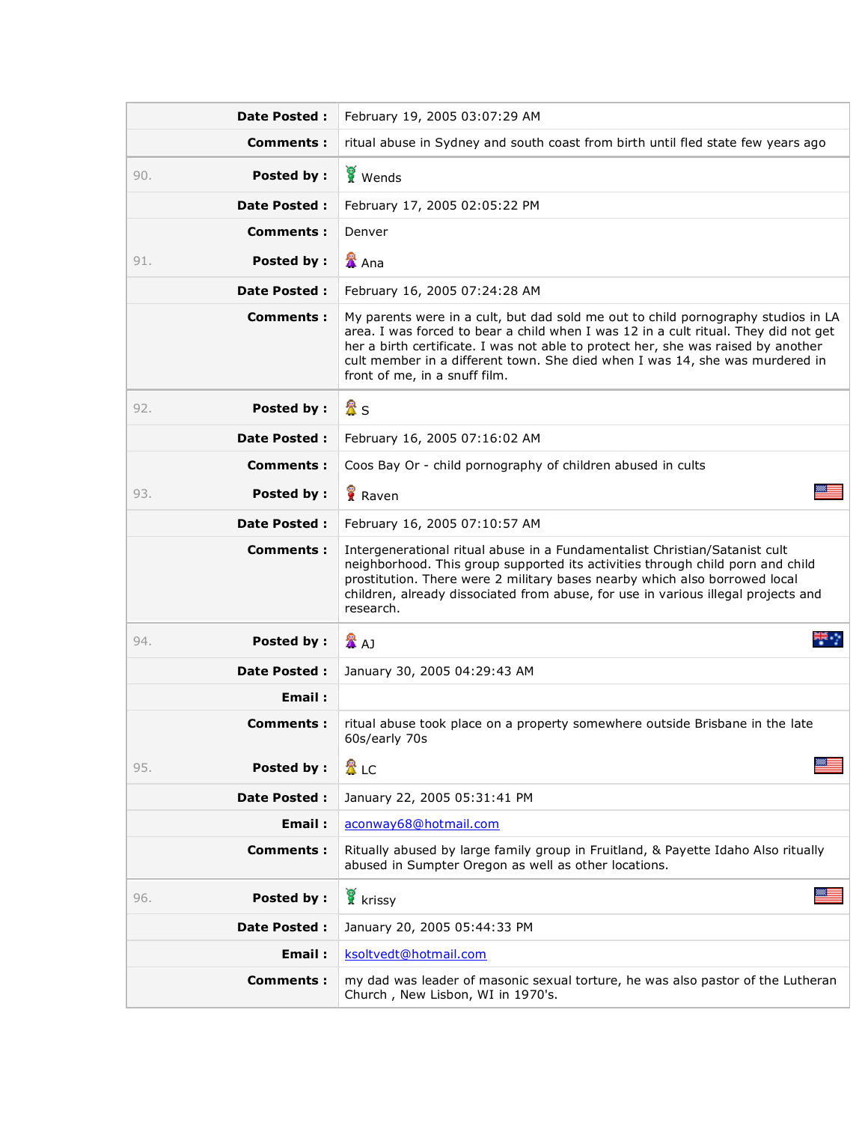| <b>Date Posted:</b>      | February 19, 2005 03:07:29 AM                                                                                                                                                                                                                                                                                                                                                  |  |
|--------------------------|--------------------------------------------------------------------------------------------------------------------------------------------------------------------------------------------------------------------------------------------------------------------------------------------------------------------------------------------------------------------------------|--|
| Comments:                | ritual abuse in Sydney and south coast from birth until fled state few years ago                                                                                                                                                                                                                                                                                               |  |
| Posted by:<br>90.        | Wends                                                                                                                                                                                                                                                                                                                                                                          |  |
| <b>Date Posted:</b>      | February 17, 2005 02:05:22 PM                                                                                                                                                                                                                                                                                                                                                  |  |
| Comments:                | Denver                                                                                                                                                                                                                                                                                                                                                                         |  |
| Posted by:<br>91.        | & Ana                                                                                                                                                                                                                                                                                                                                                                          |  |
| <b>Date Posted:</b>      | February 16, 2005 07:24:28 AM                                                                                                                                                                                                                                                                                                                                                  |  |
| Comments:                | My parents were in a cult, but dad sold me out to child pornography studios in LA<br>area. I was forced to bear a child when I was 12 in a cult ritual. They did not get<br>her a birth certificate. I was not able to protect her, she was raised by another<br>cult member in a different town. She died when I was 14, she was murdered in<br>front of me, in a snuff film. |  |
| <b>Posted by:</b><br>92. | 盈s                                                                                                                                                                                                                                                                                                                                                                             |  |
| <b>Date Posted:</b>      | February 16, 2005 07:16:02 AM                                                                                                                                                                                                                                                                                                                                                  |  |
| Comments:                | Coos Bay Or - child pornography of children abused in cults                                                                                                                                                                                                                                                                                                                    |  |
| Posted by:<br>93.        | Raven                                                                                                                                                                                                                                                                                                                                                                          |  |
| <b>Date Posted:</b>      | February 16, 2005 07:10:57 AM                                                                                                                                                                                                                                                                                                                                                  |  |
| Comments:                | Intergenerational ritual abuse in a Fundamentalist Christian/Satanist cult<br>neighborhood. This group supported its activities through child porn and child<br>prostitution. There were 2 military bases nearby which also borrowed local<br>children, already dissociated from abuse, for use in various illegal projects and<br>research.                                   |  |
| <b>Posted by:</b><br>94. | 도 구<br>公<br>公司                                                                                                                                                                                                                                                                                                                                                                 |  |
| <b>Date Posted:</b>      | January 30, 2005 04:29:43 AM                                                                                                                                                                                                                                                                                                                                                   |  |
| Email:                   |                                                                                                                                                                                                                                                                                                                                                                                |  |
| Comments:                | ritual abuse took place on a property somewhere outside Brisbane in the late<br>60s/early 70s                                                                                                                                                                                                                                                                                  |  |
| Posted by:<br>95.        | 魯 LC                                                                                                                                                                                                                                                                                                                                                                           |  |
| <b>Date Posted:</b>      | January 22, 2005 05:31:41 PM                                                                                                                                                                                                                                                                                                                                                   |  |
| Email:                   | aconway68@hotmail.com                                                                                                                                                                                                                                                                                                                                                          |  |
| <b>Comments:</b>         | Ritually abused by large family group in Fruitland, & Payette Idaho Also ritually<br>abused in Sumpter Oregon as well as other locations.                                                                                                                                                                                                                                      |  |
| Posted by:<br>96.        | krissy                                                                                                                                                                                                                                                                                                                                                                         |  |
| <b>Date Posted:</b>      | January 20, 2005 05:44:33 PM                                                                                                                                                                                                                                                                                                                                                   |  |
| Email:                   | ksoltvedt@hotmail.com                                                                                                                                                                                                                                                                                                                                                          |  |
| <b>Comments:</b>         | my dad was leader of masonic sexual torture, he was also pastor of the Lutheran<br>Church, New Lisbon, WI in 1970's.                                                                                                                                                                                                                                                           |  |